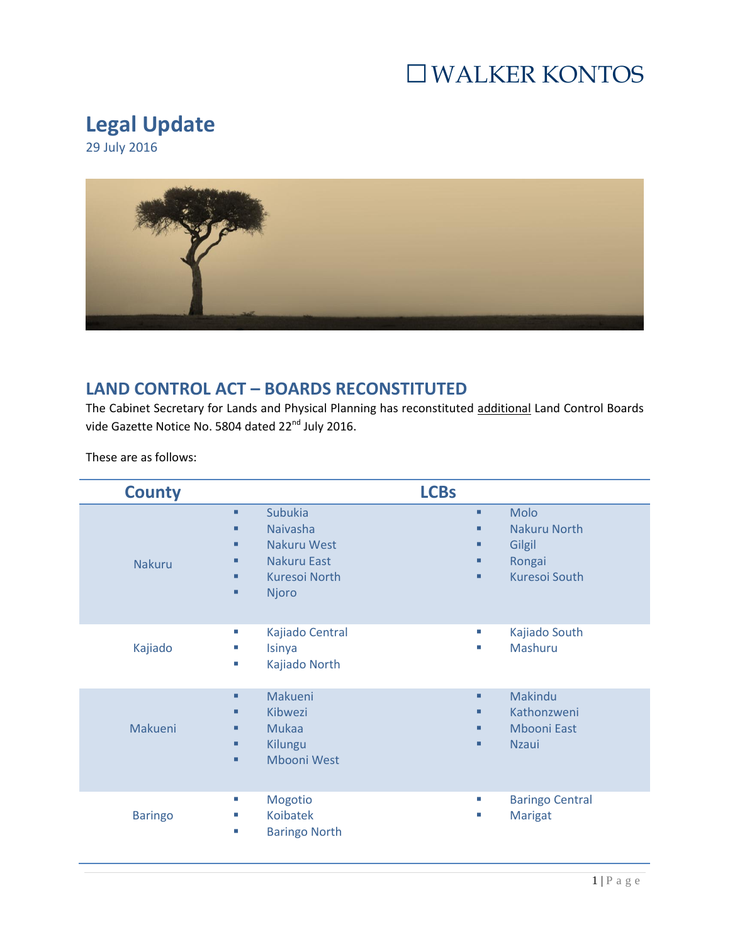### □WALKER KONTOS

#### **Legal Update**

29 July 2016



#### **LAND CONTROL ACT – BOARDS RECONSTITUTED**

The Cabinet Secretary for Lands and Physical Planning has reconstituted additional Land Control Boards vide Gazette Notice No. 5804 dated 22<sup>nd</sup> July 2016.

These are as follows:

| <b>County</b>  |                                                                                                                                       | <b>LCBs</b>                                                                               |
|----------------|---------------------------------------------------------------------------------------------------------------------------------------|-------------------------------------------------------------------------------------------|
| <b>Nakuru</b>  | Subukia<br>٠<br><b>Naivasha</b><br>٠<br><b>Nakuru West</b><br>٠<br><b>Nakuru East</b><br>٠<br><b>Kuresoi North</b><br>٠<br>Njoro<br>٠ | Molo<br>٠<br>Nakuru North<br>٠<br>Gilgil<br>٠<br>Rongai<br>■<br><b>Kuresoi South</b><br>٠ |
| Kajiado        | Kajiado Central<br>T.<br>Isinya<br>×,<br>Kajiado North<br>ш                                                                           | Kajiado South<br>T.<br>Mashuru<br>ш                                                       |
| Makueni        | Makueni<br>٠<br>Kibwezi<br>٠<br><b>Mukaa</b><br>٠<br>Kilungu<br>٠<br>Mbooni West<br>٠                                                 | Makindu<br>٠<br>Kathonzweni<br>٠<br><b>Mbooni East</b><br>٠<br><b>Nzaui</b><br>٠          |
| <b>Baringo</b> | Mogotio<br>ш<br><b>Koibatek</b><br>ш<br><b>Baringo North</b><br>ш                                                                     | <b>Baringo Central</b><br>ш<br>Marigat<br>a.                                              |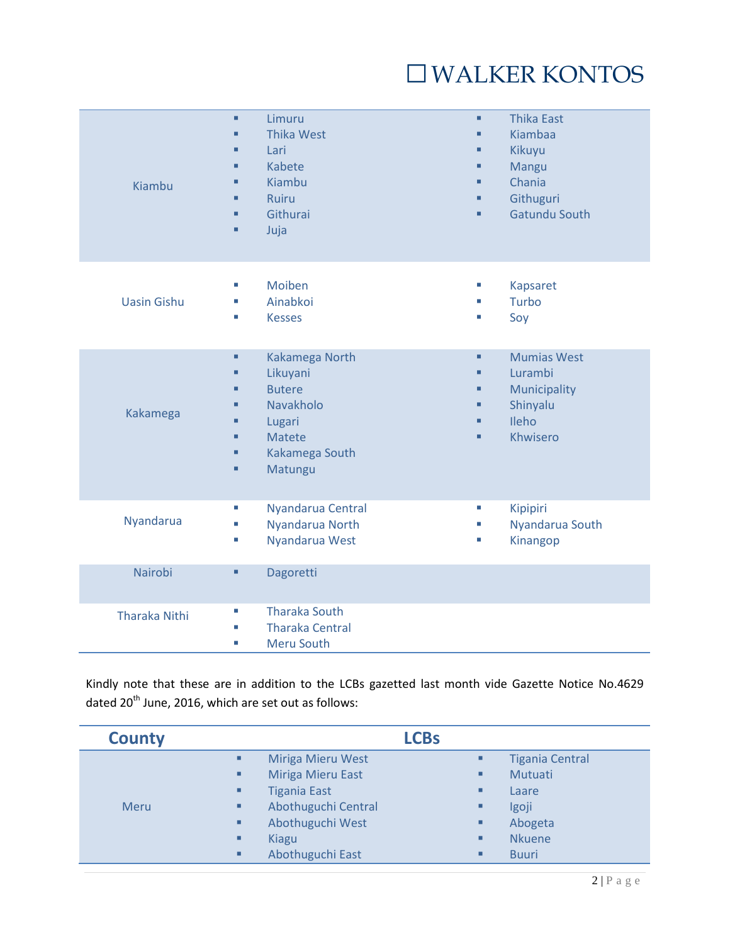## □WALKER KONTOS

| Kiambu               | Limuru<br>$\blacksquare$<br><b>Thika West</b><br>Lari<br>■<br><b>Kabete</b><br>г<br>Kiambu<br>Ruiru<br>п<br>Githurai<br>Juja<br>п | <b>Thika East</b><br>٠<br>Kiambaa<br>٠<br>Kikuyu<br>п<br>Mangu<br>п<br>Chania<br>■<br>Githuguri<br>п<br><b>Gatundu South</b><br>٠ |
|----------------------|-----------------------------------------------------------------------------------------------------------------------------------|-----------------------------------------------------------------------------------------------------------------------------------|
| <b>Uasin Gishu</b>   | Moiben<br>ш<br>Ainabkoi<br><b>Kesses</b><br>ш                                                                                     | <b>Kapsaret</b><br>T.<br>Turbo<br>п<br>Soy<br>×.                                                                                  |
| Kakamega             | Kakamega North<br>٠<br>Likuyani<br><b>Butere</b><br>Navakholo<br>Lugari<br><b>Matete</b><br>Kakamega South<br>п<br>Matungu<br>п   | <b>Mumias West</b><br>٠<br>Lurambi<br>٠<br>Municipality<br>٠<br>Shinyalu<br>п<br>Ileho<br>Khwisero<br>п                           |
| Nyandarua            | Nyandarua Central<br>×,<br>Nyandarua North<br>u,<br>Nyandarua West<br>ш                                                           | Kipipiri<br>×<br>Nyandarua South<br>Kinangop<br>×.                                                                                |
| Nairobi              | Dagoretti<br>٠                                                                                                                    |                                                                                                                                   |
| <b>Tharaka Nithi</b> | <b>Tharaka South</b><br>ш<br><b>Tharaka Central</b><br>ш<br>Meru South<br>u,                                                      |                                                                                                                                   |

Kindly note that these are in addition to the LCBs gazetted last month vide Gazette Notice No.4629 dated 20<sup>th</sup> June, 2016, which are set out as follows:

| <b>County</b> |   | <b>LCBs</b>              |   |                        |
|---------------|---|--------------------------|---|------------------------|
|               | ٠ | <b>Miriga Mieru West</b> | п | <b>Tigania Central</b> |
|               | ٠ | Miriga Mieru East        | ٠ | Mutuati                |
|               | ٠ | <b>Tigania East</b>      | ٠ | Laare                  |
| <b>Meru</b>   | ٠ | Abothuguchi Central      | ٠ | Igoji                  |
|               | ٠ | Abothuguchi West         | ٠ | Abogeta                |
|               | ٠ | <b>Kiagu</b>             | ٠ | <b>Nkuene</b>          |
|               | ٠ | Abothuguchi East         | ٠ | <b>Buuri</b>           |